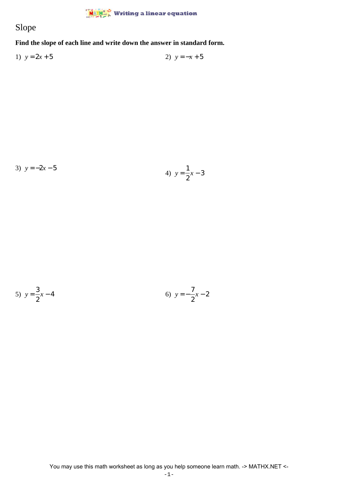## $\frac{\dot{M}}{\dot{M}}$  Writing a linear equation

## Slope

**Find the slope of each line and write down the answer in standard form.**

1)  $y = 2x + 5$  2)  $y = -x + 5$ 

3) 
$$
y = -2x - 5
$$
  
4)  $y = \frac{1}{2}x - 3$ 

5) 
$$
y = \frac{3}{2}x - 4
$$
 6)  $y = -\frac{7}{2}x - 2$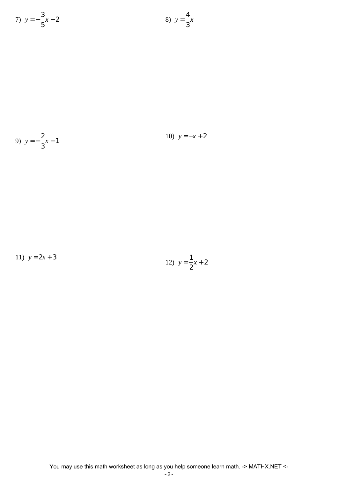7) 
$$
y = -\frac{3}{5}x - 2
$$
  
8)  $y = \frac{4}{3}x$ 

9) 
$$
y = -\frac{2}{3}x - 1
$$
  
10)  $y = -x + 2$ 

11)  $y = 2x + 3$ 

12) 
$$
y = \frac{1}{2}x + 2
$$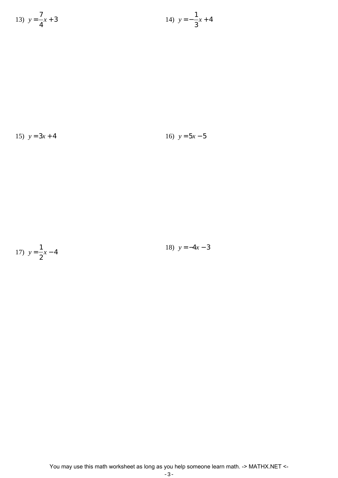13) 
$$
y = \frac{7}{4}x + 3
$$
  
14)  $y = -\frac{1}{3}x + 4$ 

15)  $y = 3x + 4$  16)  $y = 5x - 5$ 

16) 
$$
y = 5x - 5
$$

17) 
$$
y = \frac{1}{2}x - 4
$$

18) 
$$
y = -4x - 3
$$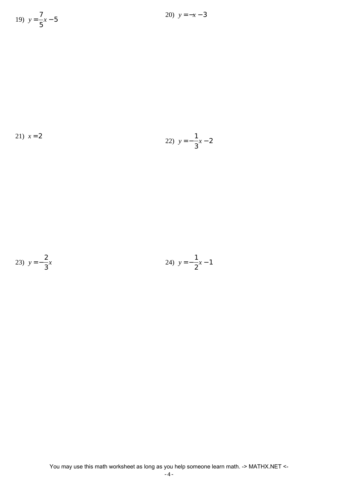19) 
$$
y = \frac{7}{5}x - 5
$$

20)  $y = -x - 3$ 

21) 
$$
x = 2
$$
  
22)  $y = -\frac{1}{3}x - 2$ 

23) 
$$
y = -\frac{2}{3}x
$$
 24)  $y = -\frac{1}{2}x - 1$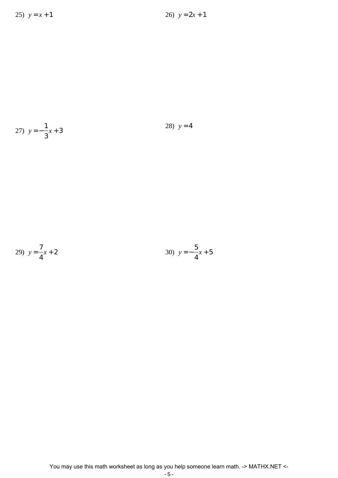27) 
$$
y = -\frac{1}{3}x + 3
$$
 28)  $y = 4$ 

29) 
$$
y = \frac{7}{4}x + 2
$$
  
30)  $y = -\frac{5}{4}x + 5$